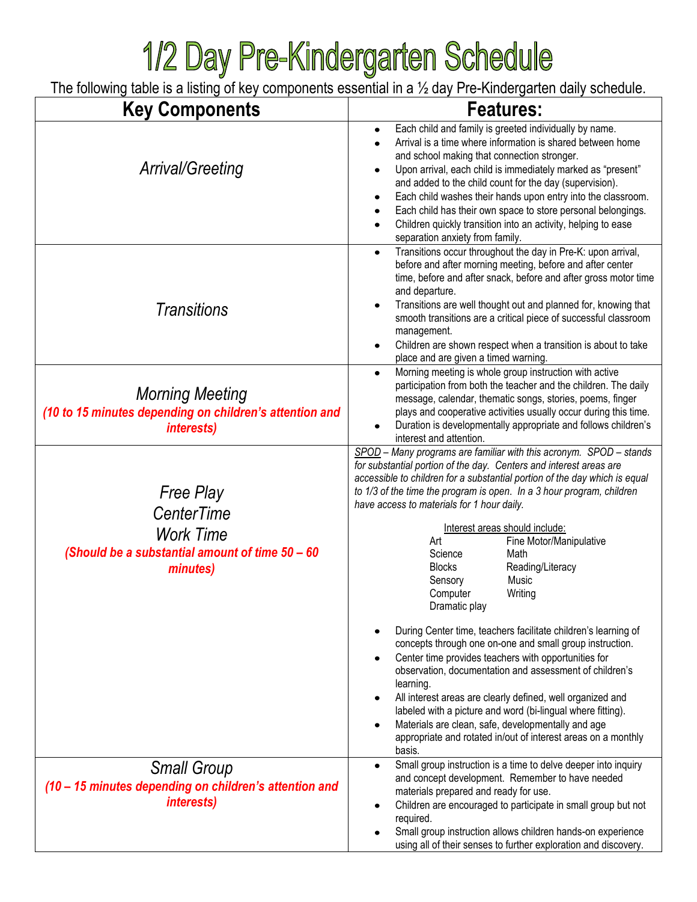## **1/2 Day Pre-Kindergarten Schedule**<br>The following table is a listing of key components essential in a 1/2 day Pre-Kindergarten daily schedule.

| <b>Key Components</b>                                                                                             | <b>Features:</b>                                                                                                                                                                                                                                                                                                                                                                                                                                                                                                                                                                                                                                                                                                                                                                                                                                                                                                                                                                                                                                                  |
|-------------------------------------------------------------------------------------------------------------------|-------------------------------------------------------------------------------------------------------------------------------------------------------------------------------------------------------------------------------------------------------------------------------------------------------------------------------------------------------------------------------------------------------------------------------------------------------------------------------------------------------------------------------------------------------------------------------------------------------------------------------------------------------------------------------------------------------------------------------------------------------------------------------------------------------------------------------------------------------------------------------------------------------------------------------------------------------------------------------------------------------------------------------------------------------------------|
| Arrival/Greeting                                                                                                  | Each child and family is greeted individually by name.<br>Arrival is a time where information is shared between home<br>and school making that connection stronger.<br>Upon arrival, each child is immediately marked as "present"<br>and added to the child count for the day (supervision).<br>Each child washes their hands upon entry into the classroom.<br>٠<br>Each child has their own space to store personal belongings.<br>$\bullet$<br>Children quickly transition into an activity, helping to ease<br>separation anxiety from family.                                                                                                                                                                                                                                                                                                                                                                                                                                                                                                               |
| Transitions                                                                                                       | Transitions occur throughout the day in Pre-K: upon arrival,<br>before and after morning meeting, before and after center<br>time, before and after snack, before and after gross motor time<br>and departure.<br>Transitions are well thought out and planned for, knowing that<br>smooth transitions are a critical piece of successful classroom<br>management.<br>Children are shown respect when a transition is about to take<br>place and are given a timed warning.                                                                                                                                                                                                                                                                                                                                                                                                                                                                                                                                                                                       |
| <b>Morning Meeting</b><br>(10 to 15 minutes depending on children's attention and<br><i>interests)</i>            | Morning meeting is whole group instruction with active<br>$\bullet$<br>participation from both the teacher and the children. The daily<br>message, calendar, thematic songs, stories, poems, finger<br>plays and cooperative activities usually occur during this time.<br>Duration is developmentally appropriate and follows children's<br>interest and attention.                                                                                                                                                                                                                                                                                                                                                                                                                                                                                                                                                                                                                                                                                              |
| <b>Free Play</b><br>CenterTime<br><b>Work Time</b><br>(Should be a substantial amount of time 50 - 60<br>minutes) | SPOD - Many programs are familiar with this acronym. SPOD - stands<br>for substantial portion of the day. Centers and interest areas are<br>accessible to children for a substantial portion of the day which is equal<br>to 1/3 of the time the program is open. In a 3 hour program, children<br>have access to materials for 1 hour daily.<br>Interest areas should include:<br>Art<br>Fine Motor/Manipulative<br>Science<br>Math<br><b>Blocks</b><br>Reading/Literacy<br>Music<br>Sensory<br>Computer<br>Writing<br>Dramatic play<br>During Center time, teachers facilitate children's learning of<br>concepts through one on-one and small group instruction.<br>Center time provides teachers with opportunities for<br>observation, documentation and assessment of children's<br>learning.<br>All interest areas are clearly defined, well organized and<br>labeled with a picture and word (bi-lingual where fitting).<br>Materials are clean, safe, developmentally and age<br>appropriate and rotated in/out of interest areas on a monthly<br>basis. |
| <b>Small Group</b><br>(10 - 15 minutes depending on children's attention and<br><i>interests)</i>                 | Small group instruction is a time to delve deeper into inquiry<br>$\bullet$<br>and concept development. Remember to have needed<br>materials prepared and ready for use.<br>Children are encouraged to participate in small group but not<br>٠<br>required.<br>Small group instruction allows children hands-on experience<br>using all of their senses to further exploration and discovery.                                                                                                                                                                                                                                                                                                                                                                                                                                                                                                                                                                                                                                                                     |